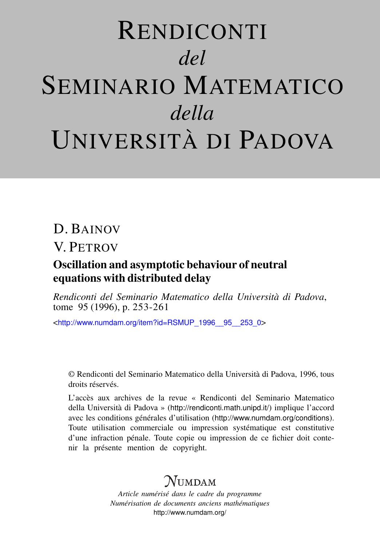# RENDICONTI *del* SEMINARIO MATEMATICO *della* UNIVERSITÀ DI PADOVA

## D. BAINOV

# V. PETROV

## Oscillation and asymptotic behaviour of neutral equations with distributed delay

*Rendiconti del Seminario Matematico della Università di Padova*, tome 95 (1996), p. 253-261

<[http://www.numdam.org/item?id=RSMUP\\_1996\\_\\_95\\_\\_253\\_0](http://www.numdam.org/item?id=RSMUP_1996__95__253_0)>

© Rendiconti del Seminario Matematico della Università di Padova, 1996, tous droits réservés.

L'accès aux archives de la revue « Rendiconti del Seminario Matematico della Università di Padova » (<http://rendiconti.math.unipd.it/>) implique l'accord avec les conditions générales d'utilisation (<http://www.numdam.org/conditions>). Toute utilisation commerciale ou impression systématique est constitutive d'une infraction pénale. Toute copie ou impression de ce fichier doit contenir la présente mention de copyright.

# $N$ umdam

*Article numérisé dans le cadre du programme Numérisation de documents anciens mathématiques* <http://www.numdam.org/>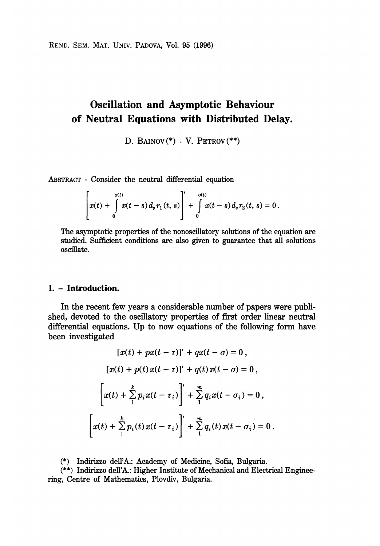REND. SEM. MAT. UNIV. PADOVA, Vol. 95 (1996)

## Oscillation and Asymptotic Behaviour of Neutral Equations with Distributed Delay.

D. BAINOV $(*)$  - V. PETROV $(**)$ 

ABSTRACT - Consider the neutral differential equation

$$
\left[x(t) + \int_{0}^{\sigma(t)} x(t-s) d_{s} r_{1}(t, s)\right] + \int_{0}^{\sigma(t)} x(t-s) d_{s} r_{2}(t, s) = 0.
$$

The asymptotic properties of the nonoscillatory solutions of the equation are studied. Sufficient conditions are also given to guarantee that all solutions oscillate.

## 1. - Introduction.

In the recent few years a considerable number of papers were published, devoted to the oscillatory properties of first order linear neutral differential equations. Up to now equations of the following form have been investigated

$$
[x(t) + px(t-\tau)]' + qx(t-\sigma) = 0,
$$
  
\n
$$
[x(t) + p(t)x(t-\tau)]' + q(t)x(t-\sigma) = 0,
$$
  
\n
$$
\left[x(t) + \sum_{i=1}^{k} p_i x(t-\tau_i)\right]' + \sum_{i=1}^{m} q_i x(t-\sigma_i) = 0,
$$
  
\n
$$
\left[x(t) + \sum_{i=1}^{k} p_i(t)x(t-\tau_i)\right]' + \sum_{i=1}^{m} q_i(t)x(t-\sigma_i) = 0.
$$

(\*) Indirizzo dell'A.: Academy of Medicine, Sofia, Bulgaria.

(\*\*) Indirizzo dell'A.: Higher Institute of Mechanical and Electrical Engineering, Centre of Mathematics, Plovdiv, Bulgaria.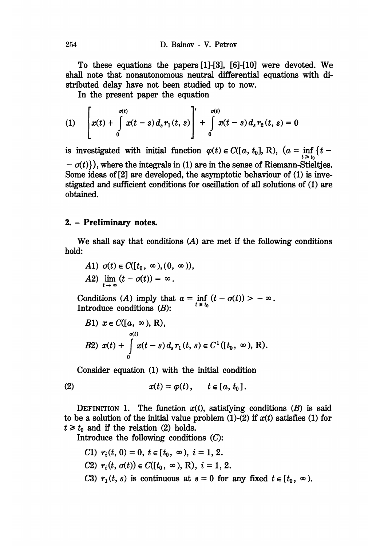To these equations the papers [1]-[3], [6]-[10] were devoted. We shall note that nonautonomous neutral differential equations with distributed delay have not been studied up to now.

In the present paper the equation

(1) 
$$
\left[x(t) + \int_{0}^{\sigma(t)} x(t-s) d_{s} r_{1}(t, s)\right] + \int_{0}^{\sigma(t)} x(t-s) d_{s} r_{2}(t, s) = 0
$$

is investigated with initial function  $\varphi(t) \in C([a, t_0], R)$ ,  $(a = \inf_{t > t_0} \{t -\sigma(t)$ ), where the integrals in (1) are in the sense of Riemann-Stieltjes. Some ideas of [2] are developed, the asymptotic behaviour of (1) is investigated and sufficient conditions for oscillation of all solutions of (1) are obtained.

### 2. - Preliminary notes.

We shall say that conditions  $(A)$  are met if the following conditions hold:

A1) 
$$
\sigma(t) \in C([t_0, \infty), (0, \infty))
$$
,  
A2)  $\lim_{t \to \infty} (t - \sigma(t)) = \infty$ .

Conditions (A) imply that  $a = \inf_{t \ge t_0} (t - o(t)) > -\infty$ . Introduce conditions (B):

B1) 
$$
x \in C([a, \infty), R),
$$
  
\n $\sigma(t)$   
\nB2)  $x(t) + \int_{0}^{\sigma(t)} x(t-s) d_s r_1(t, s) \in C^1([t_0, \infty), R).$ 

Consider equation (1) with the initial condition

$$
(2) \hspace{1cm} x(t) = \varphi(t), \hspace{1cm} t \in [a, t_0].
$$

DEFINITION 1. The function  $x(t)$ , satisfying conditions  $(B)$  is said to be a solution of the initial value problem (1)-(2) if  $x(t)$  satisfies (1) for  $t \geq t_0$  and if the relation (2) holds.

Introduce the following conditions  $(C)$ :

- C1)  $r_i(t, 0) = 0, t \in [t_0, \infty), i = 1, 2.$
- C2)  $r_i(t, \sigma(t)) \in C([t_0, \infty), R), i = 1, 2.$
- C3)  $r_1(t, s)$  is continuous at  $s = 0$  for any fixed  $t \in [t_0, \infty)$ .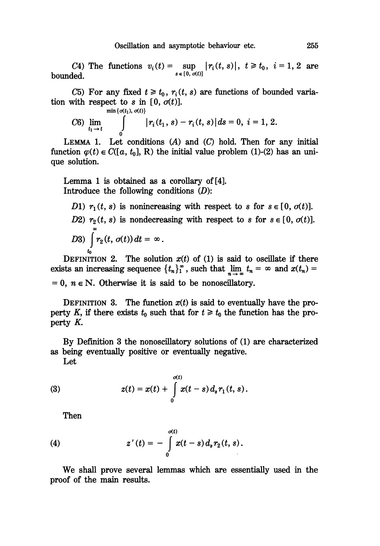C4) The functions  $v_i(t) = \sup_{s \in [0, \sigma(t)]} |r_i(t, s)|$ ,  $t \ge t_0$ ,  $i = 1, 2$  are bounded.

C5) For any fixed  $t \geq t_0$ ,  $r_i(t, s)$  are functions of bounded variation with respect to s in [0,  $\sigma(t)$ ].<br> $\min{\{\sigma(t_1), \sigma(t)\}}$ 

C6) 
$$
\lim_{t_1 \to t}
$$
  $\int_{0}^{\infty} |r_i(t_1, s) - r_i(t, s)| ds = 0, i = 1, 2.$ 

LEMMA 1. Let conditions  $(A)$  and  $(C)$  hold. Then for any initial function  $\varphi(t) \in C([a, t_0], R)$  the initial value problem (1)-(2) has an unique solution.

Lemma 1 is obtained as a corollary of [4]. Introduce the following conditions  $(D)$ :

D1)  $r_1(t, s)$  is nonincreasing with respect to s for  $s \in [0, \sigma(t)]$ . D2)  $r_2(t, s)$  is nondecreasing with respect to s for  $s \in [0, \sigma(t)]$ . D3)  $\int r_2(t, \sigma(t)) dt = \infty$ .

DEFINITION 2. The solution  $x(t)$  of (1) is said to oscillate if there exists an increasing sequence  $\{t_n\}_1^{\infty}$ , such that  $\lim_{n \to \infty} t_n = \infty$  and  $x(t_n) =$ 

 $= 0$ ,  $n \in N$ . Otherwise it is said to be nonoscillatory.

DEFINITION 3. The function  $x(t)$  is said to eventually have the property K, if there exists  $t_0$  such that for  $t \geq t_0$  the function has the property K.

By Defmition 3 the nonoscillatory solutions of (1) are characterized as being eventually positive or eventually negative.

Let

(3) 
$$
z(t) = x(t) + \int_{0}^{\sigma(t)} x(t-s) d_s r_1(t, s).
$$

Then

(4) 
$$
z'(t) = -\int_{0}^{a(t)} x(t-s) d_{s} r_{2}(t, s).
$$

We shall prove several lemmas which are essentially used in the proof of the main results.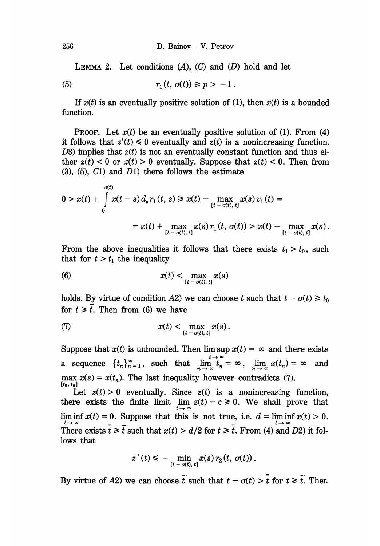LEMMA 2. Let conditions  $(A)$ ,  $(C)$  and  $(D)$  hold and let

 $(5)$  $r_1(t, \sigma(t)) \geq p > -1$ .

If  $x(t)$  is an eventually positive solution of (1), then  $x(t)$  is a bounded function.

**PROOF.** Let  $x(t)$  be an eventually positive solution of (1). From (4) it follows that  $z'(t) \leq 0$  eventually and  $z(t)$  is a nonincreasing function. D3) implies that  $z(t)$  is not an eventually constant function and thus either  $z(t) < 0$  or  $z(t) > 0$  eventually. Suppose that  $z(t) < 0$ . Then from  $(3)$ ,  $(5)$ ,  $(7)$  and  $(D1)$  there follows the estimate

$$
0 > x(t) + \int_{0}^{\sigma(t)} x(t-s) d_s r_1(t,s) \geq x(t) - \max_{[t-\sigma(t), t]} x(s) v_1(t) =
$$
  
=  $x(t) + \max_{[t-\sigma(t), t]} x(s) r_1(t, \sigma(t)) > x(t) - \max_{[t-\sigma(t), t]} x(s).$ 

From the above inequalities it follows that there exists  $t_1 > t_0$ , such that for  $t > t_1$  the inequality

(6) 
$$
x(t) < \max_{[t - \sigma(t), t]} x(s)
$$

holds. By virtue of condition A2) we can choose  $\bar{t}$  such that  $t - \sigma(t) \geq t_0$ for  $t \geq \overline{t}$ . Then from (6) we have

(7) 
$$
x(t) < \max_{[t - \sigma(t), t]} x(s).
$$

Suppose that  $x(t)$  is unbounded. Then  $\limsup x(t) = \infty$  and there exists a sequence  $\{t_n\}_{n=1}^{\infty}$ , such that  $\lim_{n\to\infty} t_n = \infty$ ,  $\lim_{n\to\infty} x(t_n) = \infty$  and  $\max_{n} x(s) = x(t_n)$ . The last inequality however contradicts (7).

Let  $z(t) > 0$  eventually. Since  $z(t)$  is a nonincreasing function, there exists the finite limit  $\lim_{z \to 0} z(t) = c \ge 0$ . We shall prove that lim inf  $x(t) = 0$ . Suppose that this is not true, i.e.  $d = \liminf_{t \to \infty} x(t) > 0$ .<br>There exists  $\bar{t} \ge \bar{t}$  such that  $x(t) > d/2$  for  $t \ge \bar{\bar{t}}$ . From (4) and D2) it follows that

$$
z'(t) \leq -\min_{[t-\sigma(t), t]} x(s) r_2(t, \sigma(t)).
$$

By virtue of A2) we can choose  $\tilde{t}$  such that  $t - \sigma(t) > \overline{t}$  for  $t \geq \tilde{t}$ . Then

256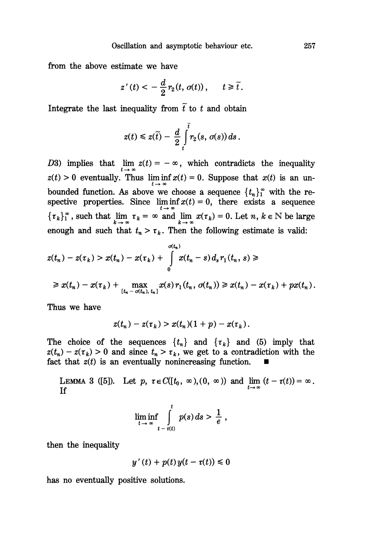from the above estimate we have

$$
z'(t) < -\frac{d}{2}r_2(t, \sigma(t)), \quad t \geq \tilde{t}.
$$

Integrate the last inequality from  $\tilde{t}$  to t and obtain

$$
z(t)\leqslant z(\widetilde{t})-\frac{d}{2}\int\limits_{t}^{\widetilde{t}}r_2(s,\,\sigma(s))\,ds\,.
$$

D3) implies that  $\lim_{t \to \infty} z(t) = -\infty$ , which contradicts the inequality  $z(t) > 0$  eventually. Thus  $\liminf_{t \to \infty} x(t) = 0$ . Suppose that  $x(t)$  is an unbounded function. As above we choose a sequence  $\{t_n\}_1^{\infty}$  with the respective properties. Since  $\liminf_{t\to\infty} x(t) = 0$ , there exists a sequence such that  $\lim_{k \to \infty} \tau_k = \infty$  and  $\lim_{k \to \infty} x(\tau_k) = 0$ . Let  $n, k \in \mathbb{N}$  be large enough and such that  $t_n > \tau_k$ . Then the following estimate is valid:

$$
z(t_n) - z(\tau_k) > x(t_n) - x(\tau_k) + \int_{0}^{\sigma(t_n)} x(t_n - s) d_s r_1(t_n, s) \ge
$$
  

$$
\geq x(t_n) - x(\tau_k) + \max_{[t_n - \sigma(t_n), t_n]} x(s) r_1(t_n, \sigma(t_n)) \geq x(t_n) - x(\tau_k) + px(t_n).
$$

Thus we have

$$
z(t_n)-z(\tau_k)>x(t_n)(1+p)-x(\tau_k).
$$

The choice of the sequences  $\{t_n\}$  and  $\{\tau_k\}$  and (5) imply that  $z(t_n) - z(\tau_k) > 0$  and since  $t_n > \tau_k$ , we get to a contradiction with the fact that  $z(t)$  is an eventually nonincreasing function.

LEMMA 3 ([5]). Let  $p, \tau \in C([t_0, \infty), (0, \infty))$  and  $\lim_{t \to \infty} (t - \tau(t)) = \infty$ . If

$$
\liminf_{t\to\infty}\int_{t-\tau(t)}^t p(s)\,ds > \frac{1}{e},
$$

then the inequality

$$
y'(t) + p(t)y(t - \tau(t)) \leq 0
$$

has no eventually positive solutions.

257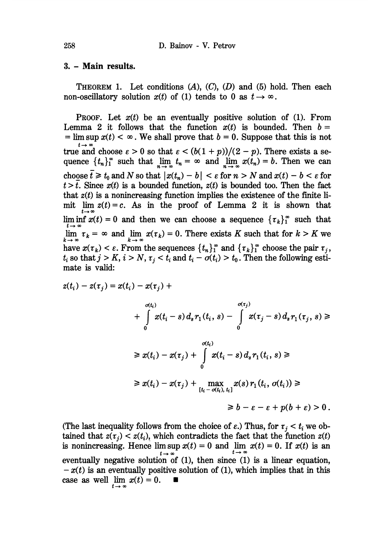#### 3. - Main results.

**THEOREM 1.** Let conditions  $(A)$ ,  $(C)$ ,  $(D)$  and  $(5)$  hold. Then each non-oscillatory solution  $x(t)$  of (1) tends to 0 as  $t \to \infty$ .

**PROOF.** Let  $x(t)$  be an eventually positive solution of (1). From Lemma 2 it follows that the function  $x(t)$  is bounded. Then  $b =$ = lim sup  $x(t) < \infty$ . We shall prove that  $b = 0$ . Suppose that this is not true and choose  $\varepsilon > 0$  so that  $\varepsilon < (b(1 + p))/(2 - p)$ . There exists a sesuch that  $\lim_{n \to \infty} t_n = \infty$  and  $\lim_{n \to \infty} x(t_n) = b$ . Then we can choose  $\bar{t} \geq t_0$  and N so that  $|x(t_n) - b| < \varepsilon$  for  $n > N$  and  $x(t) - b < \varepsilon$  for  $t > t$ . Since  $x(t)$  is a bounded function,  $z(t)$  is bounded too. Then the fact that  $z(t)$  is a nonincreasing function implies the existence of the finite limit  $\lim z(t) = c$ . As in the proof of Lemma 2 it is shown that lim inf  $x(t) = 0$  and then we can choose a sequence  $\{\tau_k\}_1^{\infty}$  such that  $\lim_{k \to \infty} \tau_k = \infty$  and  $\lim_{k \to \infty} x(\tau_k) = 0$ . There exists K such that for  $k > K$  we have  $x(\tau_k) < \varepsilon$ . From the sequences  $\{t_n\}_1^{\infty}$  and  $\{\tau_k\}_1^{\infty}$  choose the pair  $\tau_j$ ,  $t_i$  so that  $j > K$ ,  $i > N$ ,  $\tau_j < t_i$  and  $t_i - \sigma(t_i) > t_0$ . Then the following estimate is valid:

$$
z(t_i) - z(\tau_j) = x(t_i) - x(\tau_j) + \frac{\sigma(t_i)}{\sigma(t_i)}
$$
  
+ 
$$
\int_0^{\sigma(t_i)} x(t_i - s) d_s r_1(t_i, s) - \int_0^{\sigma(\tau_j)} x(\tau_j - s) d_s r_1(\tau_j, s) \ge
$$
  

$$
\geq x(t_i) - x(\tau_j) + \int_0^{\sigma(t_i)} x(t_i - s) d_s r_1(t_i, s) \ge
$$
  

$$
\geq x(t_i) - x(\tau_j) + \max_{[t_i - \sigma(t_i), t_i]} x(s) r_1(t_i, \sigma(t_i)) \ge
$$
  

$$
\geq b - \varepsilon - \varepsilon + p(b + \varepsilon) > 0.
$$

(The last inequality follows from the choice of  $\varepsilon$ .) Thus, for  $\tau_i < t_i$  we obtained that  $z(\tau_j) < z(t_i)$ , which contradicts the fact that the function  $z(t)$ is nonincreasing. Hence  $\lim_{t \to \infty} x(t) = 0$  and  $\lim_{t \to \infty} x(t) = 0$ . If  $x(t)$  is an eventually negative solution of (1), then since (1) is a linear equation,  $-x(t)$  is an eventually positive solution of (1), which implies that in this case as well  $\lim_{t \to \infty} x(t) = 0.$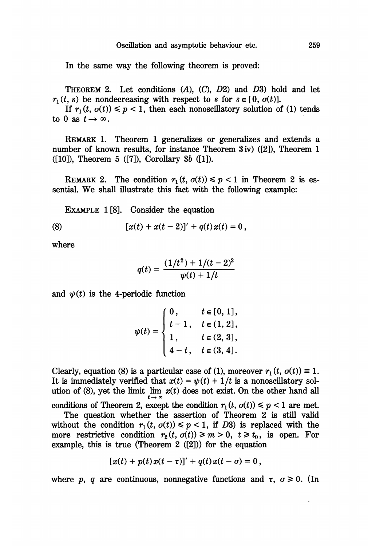In the same way the following theorem is proved:

THEOREM 2. Let conditions  $(A)$ ,  $(C)$ ,  $D2$  and  $D3$  hold and let  $r_1(t, s)$  be nondecreasing with respect to s for  $s \in [0, \sigma(t)]$ .

If  $r_1(t, \sigma(t)) \le p < 1$ , then each nonoscillatory solution of (1) tends to 0 as  $t \to \infty$ .

REMARK 1. Theorem 1 generalizes or generalizes and extends a number of known results, for instance Theorem 3 iv) ([2]), Theorem 1  $([10])$ , Theorem 5  $([7])$ , Corollary 3b  $([1])$ .

REMARK 2. The condition  $r_1(t, \sigma(t)) \leq p < 1$  in Theorem 2 is essential. We shall illustrate this fact with the following example:

EXAMPLE 1 [8]. Consider the equation

(8) 
$$
[x(t) + x(t-2)]' + q(t)x(t) = 0,
$$

where

$$
q(t) = \frac{(1/t^2) + 1/(t-2)^2}{\psi(t) + 1/t}
$$

and  $\psi(t)$  is the 4-periodic function

$$
\psi(t) = \begin{cases} 0, & t \in [0, 1], \\ t - 1, & t \in (1, 2], \\ 1, & t \in (2, 3], \\ 4 - t, & t \in (3, 4]. \end{cases}
$$

Clearly, equation (8) is a particular case of (1), moreover  $r_1(t, \sigma(t)) \equiv 1$ . It is immediately verified that  $x(t) = \psi(t) + 1/t$  is a nonoscillatory solution of (8), yet the limit  $\lim_{t \to \infty} x(t)$  does not exist. On the other hand all

conditions of Theorem 2, except the condition  $r_1(t, \sigma(t)) \leq p < 1$  are met.

The question whether the assertion of Theorem 2 is still valid without the condition  $r_1(t, \sigma(t)) \leq p < 1$ , if D3) is replaced with the more restrictive condition  $r_2(t, \sigma(t)) \ge m > 0$ ,  $t \ge t_0$ , is open. For example, this is true (Theorem 2 ([2])) for the equation

$$
[x(t) + p(t)x(t-\tau)]' + q(t)x(t-\sigma) = 0,
$$

where p, q are continuous, nonnegative functions and  $\tau$ ,  $\sigma \ge 0$ . (In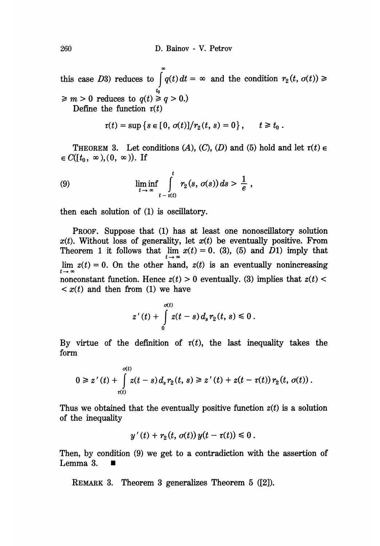this case D3) reduces to  $\int q(t) dt = \infty$  and the condition  $r_2(t, \sigma(t)) \ge$  $\geq m > 0$  reduces to  $q(t) \geq q > 0$ .) Define the function  $\tau(t)$ 

$$
\tau(t) = \sup \{ s \in [0, \sigma(t)]/r_2(t, s) = 0 \}, \quad t \geq t_0.
$$

THEOREM 3. Let conditions (A), (C), (D) and (5) hold and let  $\tau(t) \in$  $\in C([t_0, \infty), (0, \infty))$ . If

(9) 
$$
\liminf_{t\to\infty}\int_{t-\tau(t)}^t r_2(s,\sigma(s))ds > \frac{1}{e},
$$

then each solution of (1) is oscillatory.

PROOF. Suppose that (1) has at least one nonoscillatory solution  $x(t)$ . Without loss of generality, let  $x(t)$  be eventually positive. From Theorem 1 it follows that  $\lim_{t \to \infty} x(t) = 0$ . (3), (5) and  $\overline{D}$ 1) imply that lim  $z(t) = 0$ . On the other hand,  $z(t)$  is an eventually nonincreasing nonconstant function. Hence  $z(t) > 0$  eventually. (3) implies that  $z(t) <$  $\langle x(t) \rangle$  and then from (1) we have

$$
z'(t) + \int_{0}^{\sigma(t)} z(t-s) d_s r_2(t, s) \leq 0.
$$

By virtue of the definition of  $\tau(t)$ , the last inequality takes the form

$$
0 \geq z'(t) + \int_{\tau(t)}^{\sigma(t)} z(t-s) d_s r_2(t, s) \geq z'(t) + z(t - \tau(t)) r_2(t, \sigma(t)).
$$

Thus we obtained that the eventually positive function  $z(t)$  is a solution of the inequality

$$
y'(t) + r_2(t, \sigma(t))y(t - \tau(t)) \leq 0.
$$

Then, by condition (9) we get to a contradiction with the assertion of Lemma 3. ■

REMARK 3. Theorem 3 generalizes Theorem 5 ([2]).

260